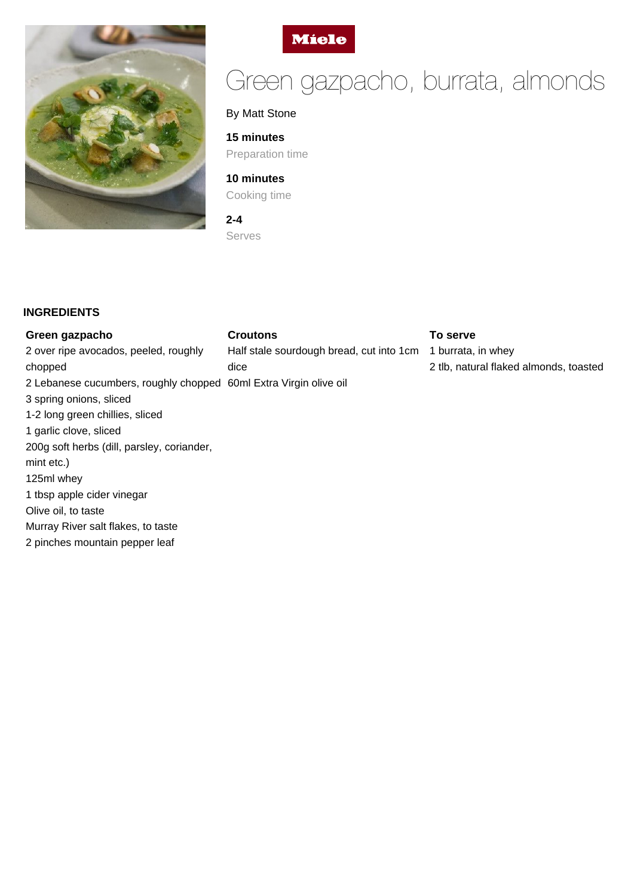



# Green gazpacho, burrata, almonds

# By Matt Stone

#### **15 minutes**

Preparation time

# **10 minutes** Cooking time

**2-4**

Serves

## **INGREDIENTS**

chopped

mint etc.) 125ml whey

#### **Green gazpacho**

3 spring onions, sliced

1 garlic clove, sliced

Olive oil, to taste

1 tbsp apple cider vinegar

Murray River salt flakes, to taste 2 pinches mountain pepper leaf

200g soft herbs (dill, parsley, coriander,

# **Croutons**

2 over ripe avocados, peeled, roughly 2 Lebanese cucumbers, roughly chopped 60ml Extra Virgin olive oil 1-2 long green chillies, sliced Half stale sourdough bread, cut into 1cm dice

#### **To serve**

1 burrata, in whey 2 tlb, natural flaked almonds, toasted